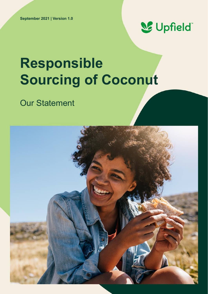

# **Responsible Sourcing of Coconut**

# Our Statement

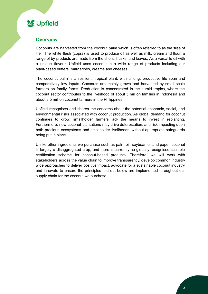### **S** Upfield

#### **Overview**

Coconuts are harvested from the coconut palm which is often referred to as the 'tree of life'. The white flesh (copra) is used to produce oil as well as milk, cream and flour, a range of by-products are made from the shells, husks, and leaves. As a versatile oil with a unique flavour, Upfield uses coconut in a wide range of products including our plant-based butters, margarines, creams and cheeses.

The coconut palm is a resilient, tropical plant, with a long, productive life span and comparatively low inputs. Coconuts are mainly grown and harvested by small scale farmers on family farms. Production is concentrated in the humid tropics, where the coconut sector contributes to the livelihood of about 5 million families in Indonesia and about 3.5 million coconut farmers in the Philippines.

Upfield recognises and shares the concerns about the potential economic, social, and environmental risks associated with coconut production. As global demand for coconut continues to grow, smallholder farmers lack the means to invest in replanting. Furthermore, new coconut plantations may drive deforestation, and risk impacting upon both precious ecosystems and smallholder livelihoods, without appropriate safeguards being put in place.

Unlike other ingredients we purchase such as palm oil, soybean oil and paper, coconut is largely a disaggregated crop, and there is currently no globally recognised scalable certification scheme for coconut-based products. Therefore, we will work with stakeholders across the value chain to improve transparency, develop common industry wide approaches to deliver positive impact, advocate for a sustainable coconut industry and innovate to ensure the principles laid out below are implemented throughout our supply chain for the coconut we purchase.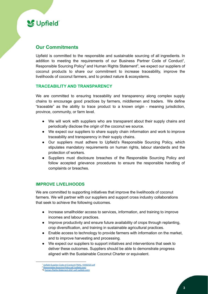**S**Upfield

### **Our Commitments**

Upfield is committed to the responsible and sustainable sourcing of all ingredients. In addition to meeting the requirements of our Business Partner Code of Conduct<sup>1</sup>, Responsible Sourcing Policy<sup>2</sup> and Human Rights Statement<sup>3</sup>, we expect our suppliers of coconut products to share our commitment to increase traceability, improve the livelihoods of coconut farmers, and to protect nature & ecosystems.

#### **TRACEABILITY AND TRANSPARENCY**

We are committed to ensuring traceability and transparency along complex supply chains to encourage good practices by farmers, middlemen and traders. We define "traceable" as the ability to trace product to a known origin - meaning jurisdiction, province, community, or farm level.

- We will work with suppliers who are transparent about their supply chains and periodically disclose the origin of the coconut we source.
- We expect our suppliers to share supply chain information and work to improve traceability and transparency in their supply chains.
- Our suppliers must adhere to Upfield's Responsible Sourcing Policy, which stipulates mandatory requirements on human rights, labour standards and the protection of workers.
- Suppliers must disclosure breaches of the Responsible Sourcing Policy and follow accepted grievance procedures to ensure the responsible handling of complaints or breaches.

#### **IMPROVE LIVELIHOODS**

We are committed to supporting initiatives that improve the livelihoods of coconut farmers. We will partner with our suppliers and support cross industry collaborations that seek to achieve the following outcomes.

- Increase smallholder access to services, information, and training to improve incomes and labour practices.
- Improve productivity and ensure future availability of crops through replanting, crop diversification, and training in sustainable agricultural practices.
- Enable access to technology to provide farmers with information on the market, and to improve harvesting and processing.
- We expect our suppliers to support initiatives and interventions that seek to deliver these outcomes. Suppliers should be able to demonstrate progress aligned with the Sustainable Coconut Charter or equivalent.

<sup>1</sup> [Upfield-Supplier-Code-of-Conduct-FINAL-10082020.pdf](https://upfield.com/wp-content/uploads/2020/10/Upfield-Supplier-Code-of-Conduct-FINAL-10082020.pdf)

<sup>2</sup> [Responsible-Sourcing-Policy.pdf \(upfield.com\)](https://upfield.com/wp-content/uploads/2019/05/Responsible-Sourcing-Policy.pdf)